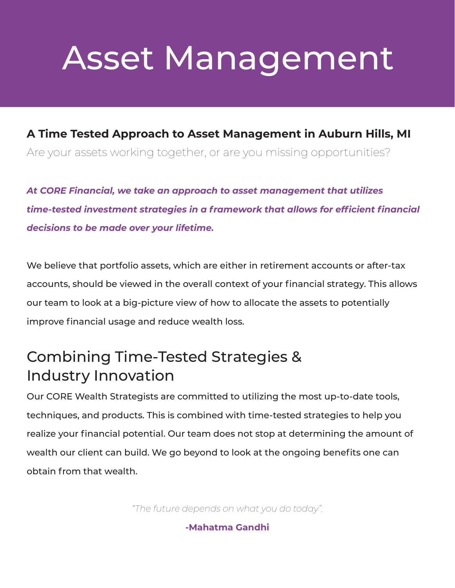# Asset Management

#### **A Time Tested Approach to Asset Management in Auburn Hills, MI**

Are your assets working together, or are you missing opportunities?

*At CORE Financial, we take an approach to asset management that utilizes time-tested investment strategies in a framework that allows for efficient financial decisions to be made over your lifetime.*

We believe that portfolio assets, which are either in retirement accounts or after-tax accounts, should be viewed in the overall context of your financial strategy. This allows our team to look at a big-picture view of how to allocate the assets to potentially improve financial usage and reduce wealth loss.

## Combining Time-Tested Strategies & Industry Innovation

Our CORE Wealth Strategists are committed to utilizing the most up-to-date tools, techniques, and products. This is combined with time-tested strategies to help you realize your financial potential. Our team does not stop at determining the amount of wealth our client can build. We go beyond to look at the ongoing benefits one can obtain from that wealth.

*"The future depends on what you do today".*

**-Mahatma Gandhi**